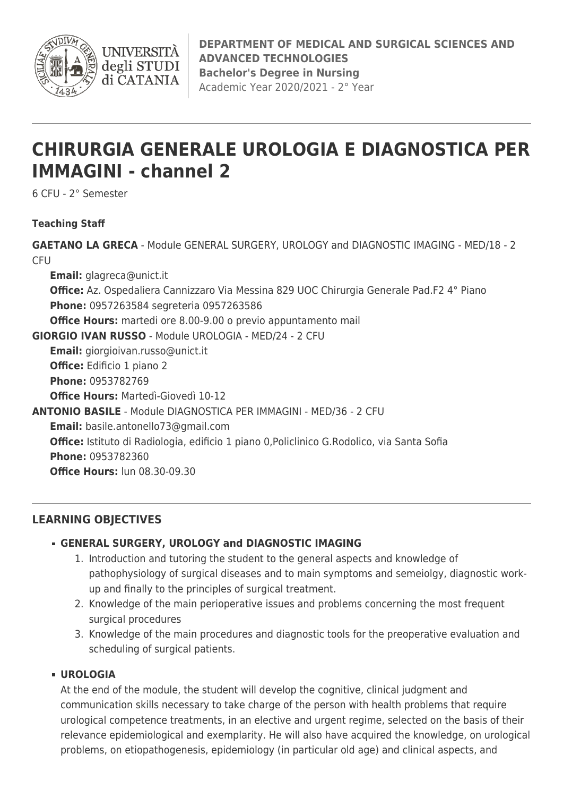

**UNIVERSIT** degli STUDI di CATANIA

# **CHIRURGIA GENERALE UROLOGIA E DIAGNOSTICA PER IMMAGINI - channel 2**

6 CFU - 2° Semester

# **Teaching Staff**

**GAETANO LA GRECA** - Module GENERAL SURGERY, UROLOGY and DIAGNOSTIC IMAGING - MED/18 - 2 **CFU Email:** [glagreca@unict.it](mailto:glagreca@unict.it) **Office:** Az. Ospedaliera Cannizzaro Via Messina 829 UOC Chirurgia Generale Pad.F2 4° Piano **Phone:** 0957263584 segreteria 0957263586 **Office Hours:** martedi ore 8.00-9.00 o previo appuntamento mail **GIORGIO IVAN RUSSO** - Module UROLOGIA - MED/24 - 2 CFU **Email:** [giorgioivan.russo@unict.it](mailto:giorgioivan.russo@unict.it) **Office:** Edificio 1 piano 2 **Phone:** 0953782769 **Office Hours:** Martedì-Giovedì 10-12 **ANTONIO BASILE** - Module DIAGNOSTICA PER IMMAGINI - MED/36 - 2 CFU **Email:** [basile.antonello73@gmail.com](mailto:basile.antonello73@gmail.com) **Office:** Istituto di Radiologia, edificio 1 piano 0,Policlinico G.Rodolico, via Santa Sofia **Phone:** 0953782360 **Office Hours:** lun 08.30-09.30

# **LEARNING OBJECTIVES**

# **GENERAL SURGERY, UROLOGY and DIAGNOSTIC IMAGING**

- 1. Introduction and tutoring the student to the general aspects and knowledge of pathophysiology of surgical diseases and to main symptoms and semeiolgy, diagnostic workup and finally to the principles of surgical treatment.
- 2. Knowledge of the main perioperative issues and problems concerning the most frequent surgical procedures
- 3. Knowledge of the main procedures and diagnostic tools for the preoperative evaluation and scheduling of surgical patients.

### **UROLOGIA**

At the end of the module, the student will develop the cognitive, clinical judgment and communication skills necessary to take charge of the person with health problems that require urological competence treatments, in an elective and urgent regime, selected on the basis of their relevance epidemiological and exemplarity. He will also have acquired the knowledge, on urological problems, on etiopathogenesis, epidemiology (in particular old age) and clinical aspects, and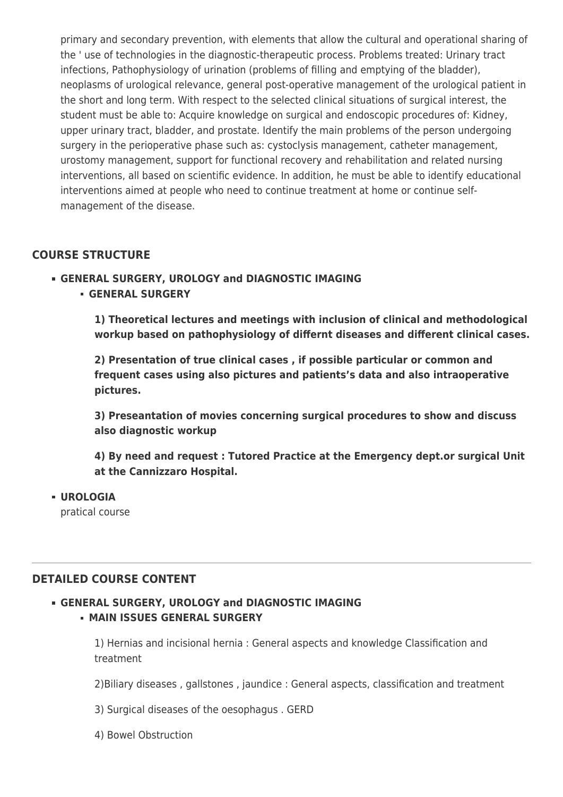primary and secondary prevention, with elements that allow the cultural and operational sharing of the ' use of technologies in the diagnostic-therapeutic process. Problems treated: Urinary tract infections, Pathophysiology of urination (problems of filling and emptying of the bladder), neoplasms of urological relevance, general post-operative management of the urological patient in the short and long term. With respect to the selected clinical situations of surgical interest, the student must be able to: Acquire knowledge on surgical and endoscopic procedures of: Kidney, upper urinary tract, bladder, and prostate. Identify the main problems of the person undergoing surgery in the perioperative phase such as: cystoclysis management, catheter management, urostomy management, support for functional recovery and rehabilitation and related nursing interventions, all based on scientific evidence. In addition, he must be able to identify educational interventions aimed at people who need to continue treatment at home or continue selfmanagement of the disease.

# **COURSE STRUCTURE**

#### **GENERAL SURGERY, UROLOGY and DIAGNOSTIC IMAGING GENERAL SURGERY**

**1) Theoretical lectures and meetings with inclusion of clinical and methodological workup based on pathophysiology of differnt diseases and different clinical cases.**

**2) Presentation of true clinical cases , if possible particular or common and frequent cases using also pictures and patients's data and also intraoperative pictures.**

**3) Preseantation of movies concerning surgical procedures to show and discuss also diagnostic workup**

**4) By need and request : Tutored Practice at the Emergency dept.or surgical Unit at the Cannizzaro Hospital.**

**UROLOGIA**

pratical course

# **DETAILED COURSE CONTENT**

## **GENERAL SURGERY, UROLOGY and DIAGNOSTIC IMAGING MAIN ISSUES GENERAL SURGERY**

1) Hernias and incisional hernia : General aspects and knowledge Classification and treatment

2)Biliary diseases , gallstones , jaundice : General aspects, classification and treatment

3) Surgical diseases of the oesophagus . GERD

4) Bowel Obstruction